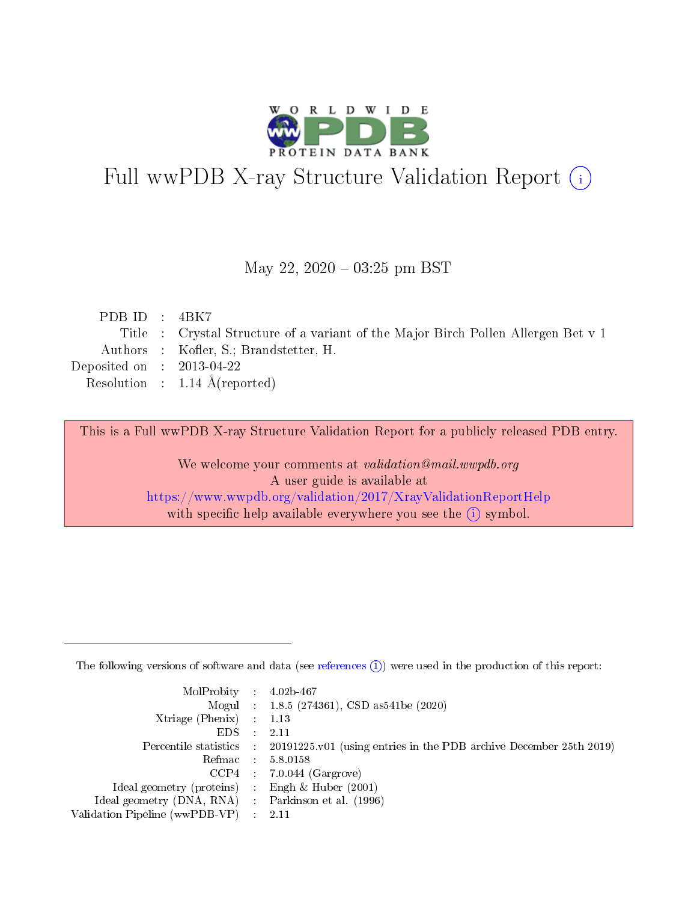

# Full wwPDB X-ray Structure Validation Report (i)

#### May 22,  $2020 - 03:25$  pm BST

| PDB ID : $4BK7$             |                                                                                   |
|-----------------------------|-----------------------------------------------------------------------------------|
|                             | Title : Crystal Structure of a variant of the Major Birch Pollen Allergen Bet v 1 |
|                             | Authors : Kofler, S.; Brandstetter, H.                                            |
| Deposited on : $2013-04-22$ |                                                                                   |
|                             | Resolution : $1.14 \text{ Å}$ (reported)                                          |
|                             |                                                                                   |

This is a Full wwPDB X-ray Structure Validation Report for a publicly released PDB entry.

We welcome your comments at validation@mail.wwpdb.org A user guide is available at <https://www.wwpdb.org/validation/2017/XrayValidationReportHelp> with specific help available everywhere you see the  $(i)$  symbol.

The following versions of software and data (see [references](https://www.wwpdb.org/validation/2017/XrayValidationReportHelp#references)  $(1)$ ) were used in the production of this report:

| $MolProbability$ : 4.02b-467                        |                                                                                            |
|-----------------------------------------------------|--------------------------------------------------------------------------------------------|
|                                                     | Mogul : 1.8.5 (274361), CSD as 541be (2020)                                                |
| Xtriage (Phenix) $: 1.13$                           |                                                                                            |
| EDS :                                               | -2.11                                                                                      |
|                                                     | Percentile statistics : 20191225.v01 (using entries in the PDB archive December 25th 2019) |
| Refmac 58.0158                                      |                                                                                            |
|                                                     | $CCP4$ 7.0.044 (Gargrove)                                                                  |
| Ideal geometry (proteins) : Engh $\&$ Huber (2001)  |                                                                                            |
| Ideal geometry (DNA, RNA) : Parkinson et al. (1996) |                                                                                            |
| Validation Pipeline (wwPDB-VP) : 2.11               |                                                                                            |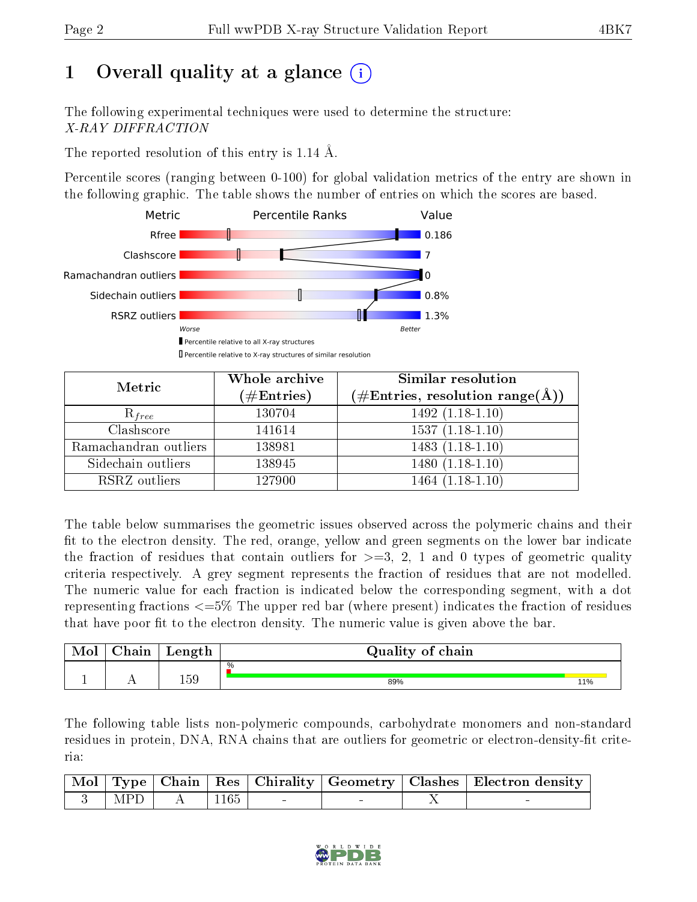# 1 [O](https://www.wwpdb.org/validation/2017/XrayValidationReportHelp#overall_quality)verall quality at a glance  $(i)$

The following experimental techniques were used to determine the structure: X-RAY DIFFRACTION

The reported resolution of this entry is 1.14 Å.

Percentile scores (ranging between 0-100) for global validation metrics of the entry are shown in the following graphic. The table shows the number of entries on which the scores are based.



| Metric                | Whole archive<br>$(\#\mathrm{Entries})$ | Similar resolution<br>$(\#\text{Entries}, \, \text{resolution range}(\textup{\AA}))$ |
|-----------------------|-----------------------------------------|--------------------------------------------------------------------------------------|
| $R_{free}$            | 130704                                  | $1492(1.18-1.10)$                                                                    |
| Clashscore            | 141614                                  | $1537(1.18-1.10)$                                                                    |
| Ramachandran outliers | 138981                                  | $1483(1.18-1.10)$                                                                    |
| Sidechain outliers    | 138945                                  | $1480(1.18-1.10)$                                                                    |
| RSRZ outliers         | 127900                                  | $1464(1.18-1.10)$                                                                    |

The table below summarises the geometric issues observed across the polymeric chains and their fit to the electron density. The red, orange, yellow and green segments on the lower bar indicate the fraction of residues that contain outliers for  $>=3, 2, 1$  and 0 types of geometric quality criteria respectively. A grey segment represents the fraction of residues that are not modelled. The numeric value for each fraction is indicated below the corresponding segment, with a dot representing fractions <=5% The upper red bar (where present) indicates the fraction of residues that have poor fit to the electron density. The numeric value is given above the bar.

| Mol | ${\bf Chain}$ | Length | Quality of chain |     |
|-----|---------------|--------|------------------|-----|
|     |               |        | $\frac{0}{0}$    |     |
|     | . .           | 159    | 89%              | 11% |

The following table lists non-polymeric compounds, carbohydrate monomers and non-standard residues in protein, DNA, RNA chains that are outliers for geometric or electron-density-fit criteria:

|  |                                                                            |  |  | Mol   Type   Chain   Res   Chirality   Geometry   Clashes   Electron density |
|--|----------------------------------------------------------------------------|--|--|------------------------------------------------------------------------------|
|  | $\begin{array}{ c c c c c c c c c } \hline 3 & MPD & A & 1165 \end{array}$ |  |  |                                                                              |

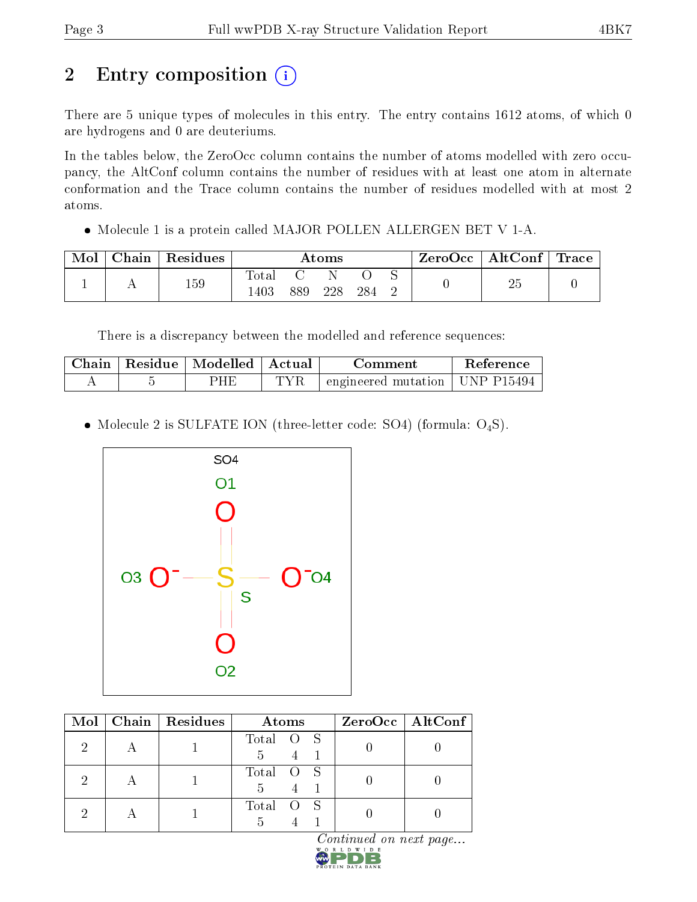# 2 Entry composition (i)

There are 5 unique types of molecules in this entry. The entry contains 1612 atoms, of which 0 are hydrogens and 0 are deuteriums.

In the tables below, the ZeroOcc column contains the number of atoms modelled with zero occupancy, the AltConf column contains the number of residues with at least one atom in alternate conformation and the Trace column contains the number of residues modelled with at most 2 atoms.

• Molecule 1 is a protein called MAJOR POLLEN ALLERGEN BET V 1-A.

| Mol | $ $ Chain $ $ Residues | Atoms                 |     |     | ZeroOcc   AltConf   Trace |  |  |  |
|-----|------------------------|-----------------------|-----|-----|---------------------------|--|--|--|
|     | 159                    | $_{\rm Total}$<br>403 | 889 | 228 | 284                       |  |  |  |

There is a discrepancy between the modelled and reference sequences:

| Chain | Residue   Modelled   Actual | Comment                                    | Reference |
|-------|-----------------------------|--------------------------------------------|-----------|
|       | ) H F                       | $\pm$ engineered mutation $\pm$ UNP P15494 |           |

• Molecule 2 is SULFATE ION (three-letter code: SO4) (formula:  $O_4S$ ).



|    | Mol   Chain   Residues | Atoms                      | $ZeroOcc$   AltConf |
|----|------------------------|----------------------------|---------------------|
|    |                        | Total O S<br>5             |                     |
| ٠, |                        | Total O S<br>$\frac{5}{2}$ |                     |
|    |                        | Total                      |                     |

 $Continued on next page...$ 

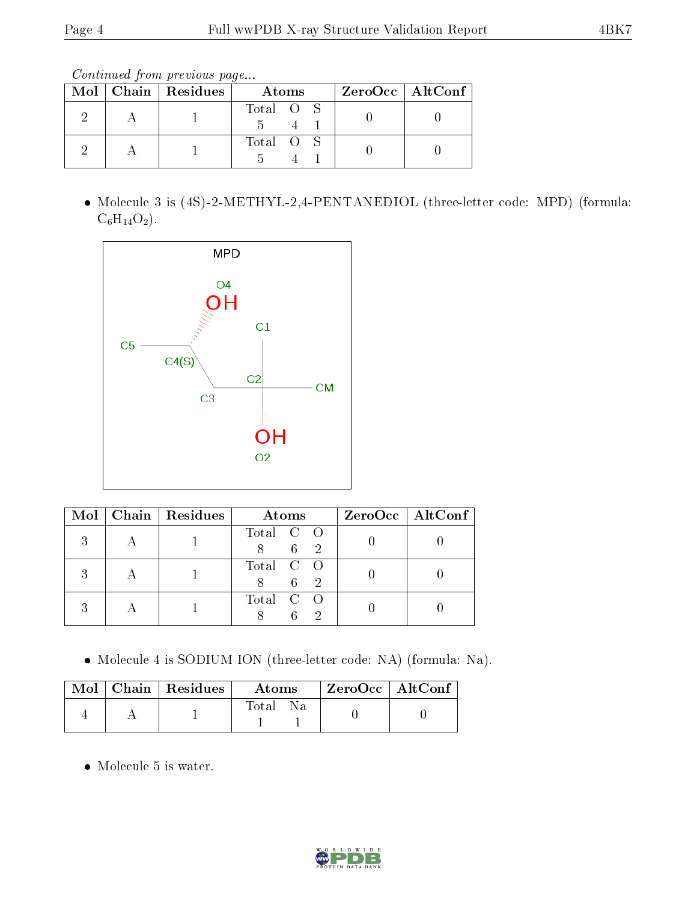Continued from previous page...

|  | $\text{Mol}$   Chain   Residues | Atoms     | $ZeroOcc \   \ AltConf \  $ |
|--|---------------------------------|-----------|-----------------------------|
|  |                                 | Total O S |                             |
|  |                                 | Total O S |                             |

 Molecule 3 is (4S)-2-METHYL-2,4-PENTANEDIOL (three-letter code: MPD) (formula:  $C_6H_{14}O_2$ .



|  | Mol   Chain   Residues | Atoms     | $ZeroOcc \   \ AltConf \  $ |
|--|------------------------|-----------|-----------------------------|
|  |                        | Total C O |                             |
|  |                        | Total C O |                             |
|  |                        | Total C O |                             |

Molecule 4 is SODIUM ION (three-letter code: NA) (formula: Na).

|  | $\mid$ Mol $\mid$ Chain $\mid$ Residues $\mid$ | $\boldsymbol{\mathrm{Atoms}}$ | ZeroOcc   AltConf |  |
|--|------------------------------------------------|-------------------------------|-------------------|--|
|  |                                                | Total                         |                   |  |

Molecule 5 is water.

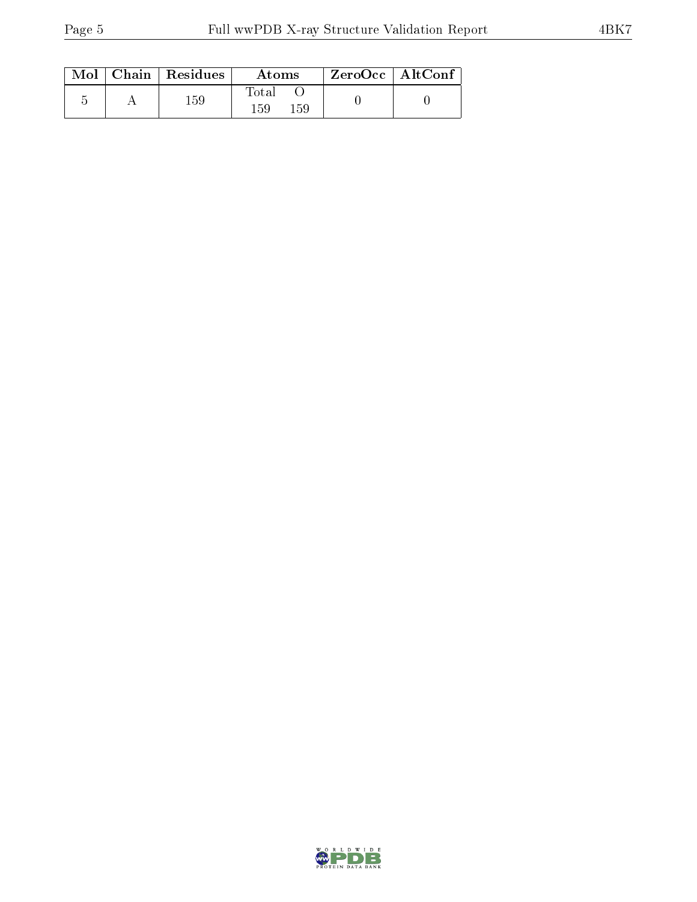|  | $\text{Mol}$   Chain   Residues | Atoms               | $ZeroOcc$   AltConf |  |
|--|---------------------------------|---------------------|---------------------|--|
|  | 159                             | Total<br>159<br>159 |                     |  |

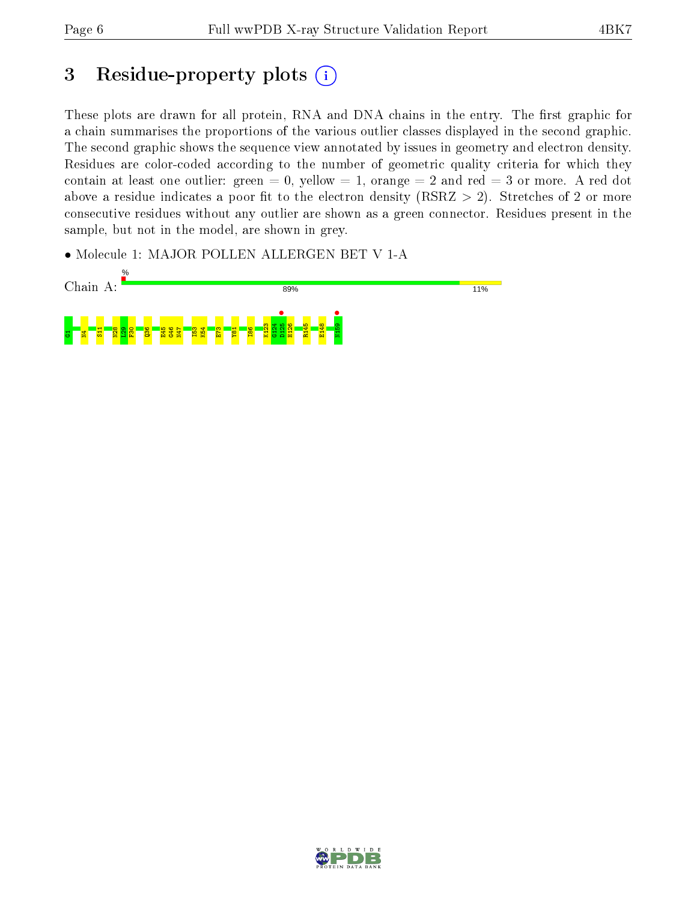# 3 Residue-property plots  $(i)$

These plots are drawn for all protein, RNA and DNA chains in the entry. The first graphic for a chain summarises the proportions of the various outlier classes displayed in the second graphic. The second graphic shows the sequence view annotated by issues in geometry and electron density. Residues are color-coded according to the number of geometric quality criteria for which they contain at least one outlier: green  $= 0$ , yellow  $= 1$ , orange  $= 2$  and red  $= 3$  or more. A red dot above a residue indicates a poor fit to the electron density (RSRZ  $> 2$ ). Stretches of 2 or more consecutive residues without any outlier are shown as a green connector. Residues present in the sample, but not in the model, are shown in grey.

• Molecule 1: MAJOR POLLEN ALLERGEN BET V 1-A



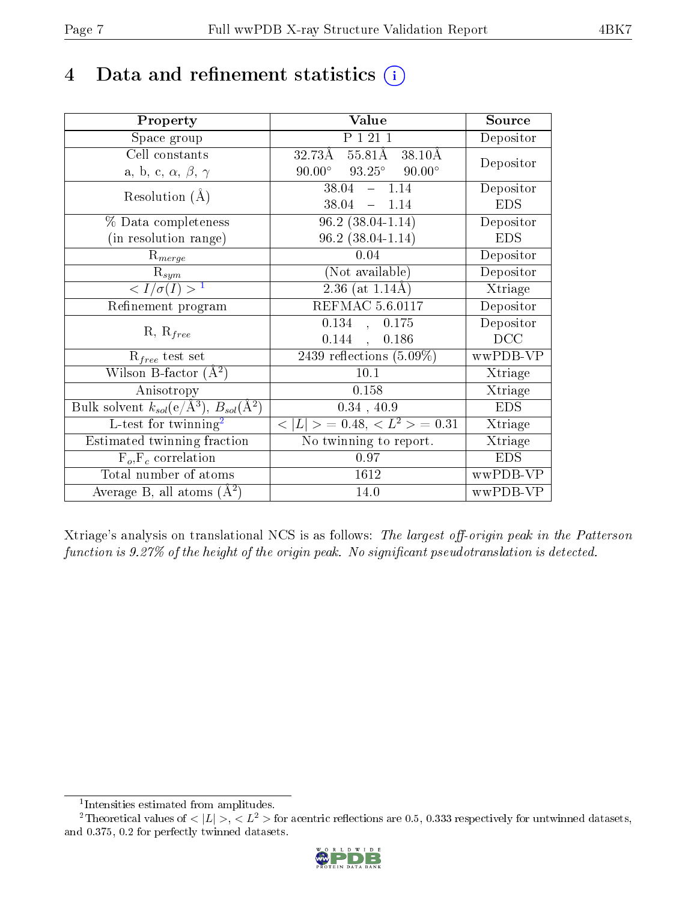## 4 Data and refinement statistics  $(i)$

| Property                                                                | Value                                            | Source     |
|-------------------------------------------------------------------------|--------------------------------------------------|------------|
| Space group                                                             | P 1 21 1                                         | Depositor  |
| Cell constants                                                          | 32.73Å 55.81Å<br>38.10Å                          | Depositor  |
| a, b, c, $\alpha$ , $\beta$ , $\gamma$                                  | $93.25^{\circ}$ $90.00^{\circ}$<br>$90.00^\circ$ |            |
| Resolution $(A)$                                                        | $38.04 - 1.14$                                   | Depositor  |
|                                                                         | 38.04<br>$-1.14$                                 | <b>EDS</b> |
| % Data completeness                                                     | $96.2(38.04-1.14)$                               | Depositor  |
| (in resolution range)                                                   | $96.2(38.04-1.14)$                               | <b>EDS</b> |
| $R_{merge}$                                                             | 0.04                                             | Depositor  |
| $\mathrm{R}_{sym}$                                                      | (Not available)                                  | Depositor  |
| $\langle I/\sigma(I) \rangle^{-1}$                                      | $2.36$ (at 1.14Å)                                | Xtriage    |
| Refinement program                                                      | <b>REFMAC 5.6.0117</b>                           | Depositor  |
| $R, R_{free}$                                                           | 0.134, 0.175                                     | Depositor  |
|                                                                         | 0.144,<br>0.186                                  | DCC        |
| $\mathcal{R}_{free}$ test set                                           | $2439$ reflections $(5.09\%)$                    | wwPDB-VP   |
| Wilson B-factor $(A^2)$                                                 | 10.1                                             | Xtriage    |
| Anisotropy                                                              | 0.158                                            | Xtriage    |
| Bulk solvent $k_{sol}(\mathrm{e}/\mathrm{A}^3),\,B_{sol}(\mathrm{A}^2)$ | 0.34, 40.9                                       | <b>EDS</b> |
| L-test for twinning <sup>2</sup>                                        | $< L >$ = 0.48, $< L2 >$ = 0.31                  | Xtriage    |
| Estimated twinning fraction                                             | No twinning to report.                           | Xtriage    |
| $F_o, F_c$ correlation                                                  | 0.97                                             | <b>EDS</b> |
| Total number of atoms                                                   | 1612                                             | wwPDB-VP   |
| Average B, all atoms $(A^2)$                                            | 14.0                                             | wwPDB-VP   |

Xtriage's analysis on translational NCS is as follows: The largest off-origin peak in the Patterson function is  $9.27\%$  of the height of the origin peak. No significant pseudotranslation is detected.

<sup>&</sup>lt;sup>2</sup>Theoretical values of  $\langle |L| \rangle$ ,  $\langle L^2 \rangle$  for acentric reflections are 0.5, 0.333 respectively for untwinned datasets, and 0.375, 0.2 for perfectly twinned datasets.



<span id="page-6-1"></span><span id="page-6-0"></span><sup>1</sup> Intensities estimated from amplitudes.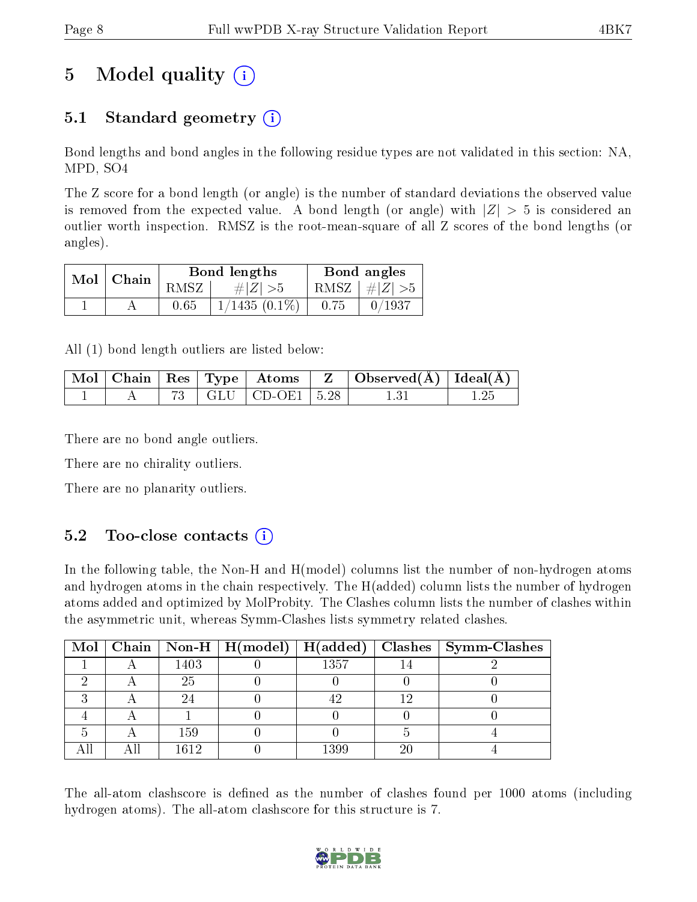# 5 Model quality  $(i)$

### 5.1 Standard geometry (i)

Bond lengths and bond angles in the following residue types are not validated in this section: NA, MPD, SO4

The Z score for a bond length (or angle) is the number of standard deviations the observed value is removed from the expected value. A bond length (or angle) with  $|Z| > 5$  is considered an outlier worth inspection. RMSZ is the root-mean-square of all Z scores of the bond lengths (or angles).

| $Mol$   Chain |      | Bond lengths    | Bond angles |                         |  |
|---------------|------|-----------------|-------------|-------------------------|--|
|               | RMSZ | # $ Z  > 5$     |             | RMSZ $\mid \#Z \mid >5$ |  |
|               | 0.65 | $1/1435(0.1\%)$ | 0.75        | 0/1937                  |  |

All (1) bond length outliers are listed below:

|  |  |                          | $\mid$ Mol $\mid$ Chain $\mid$ Res $\mid$ Type $\mid$ Atoms $\mid$ Z $\mid$ Observed(Å) $\mid$ Ideal(Å) $\mid$ |  |
|--|--|--------------------------|----------------------------------------------------------------------------------------------------------------|--|
|  |  | 73   GLU   CD-OE1   5.28 |                                                                                                                |  |

There are no bond angle outliers.

There are no chirality outliers.

There are no planarity outliers.

### $5.2$  Too-close contacts  $(i)$

In the following table, the Non-H and H(model) columns list the number of non-hydrogen atoms and hydrogen atoms in the chain respectively. The H(added) column lists the number of hydrogen atoms added and optimized by MolProbity. The Clashes column lists the number of clashes within the asymmetric unit, whereas Symm-Clashes lists symmetry related clashes.

|  |      |      |    | Mol   Chain   Non-H   H(model)   H(added)   Clashes   Symm-Clashes |
|--|------|------|----|--------------------------------------------------------------------|
|  | 1403 | 1357 |    |                                                                    |
|  | 25   |      |    |                                                                    |
|  |      |      |    |                                                                    |
|  |      |      |    |                                                                    |
|  | 159  |      |    |                                                                    |
|  | 1612 | 1399 | 20 |                                                                    |

The all-atom clashscore is defined as the number of clashes found per 1000 atoms (including hydrogen atoms). The all-atom clashscore for this structure is 7.

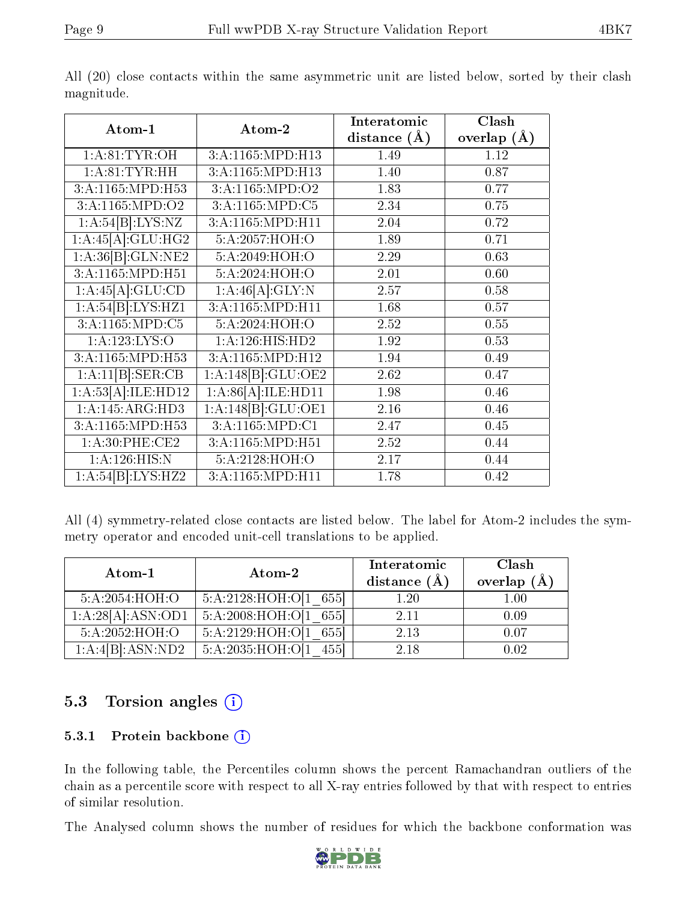| Atom-1                       |                    | Interatomic      | $\overline{\text{Clash}}$ |
|------------------------------|--------------------|------------------|---------------------------|
|                              | Atom-2             | distance $(\AA)$ | overlap $(\AA)$           |
| 1: A:81: TYR:OH              | 3:A:1165:MPD:H13   | 1.49             | 1.12                      |
| 1:A:81:TYR:HH                | 3:A:1165:MPD:H13   | 1.40             | 0.87                      |
| 3:A:1165:MPD:H53             | 3:A:1165:MPD:O2    | 1.83             | 0.77                      |
| $3:A:116\overline{5:MPD:O2}$ | 3:A:1165:MPD:C5    | 2.34             | 0.75                      |
| 1:A:54[B]:LYS:NZ             | 3:A:1165:MPD:H11   | 2.04             | 0.72                      |
| 1:A:45[A]:GLU:HG2            | 5:A:2057:HOH:O     | 1.89             | 0.71                      |
| 1:A:36[B]:GLN:NE2            | 5:A:2049:HOH:O     | 2.29             | 0.63                      |
| 3:A:1165:MPD:H51             | 5:A:2024:HOH:O     | 2.01             | 0.60                      |
| 1:A:45[A]:GLU:CD             | 1:A:46[A]:GLY:N    | 2.57             | 0.58                      |
| 1:A:54[B]:LYS:HZ1            | 3:A:1165:MPD:H11   | 1.68             | 0.57                      |
| 3:A:1165:MPD:C5              | 5:A:2024:HOH:O     | 2.52             | 0.55                      |
| 1:A:123:LYS:O                | 1:A:126:HIS:HD2    | 1.92             | 0.53                      |
| 3:A:1165:MPD:H53             | 3:A:1165:MPD:H12   | 1.94             | 0.49                      |
| 1:A:11[B]:SER:CB             | 1:A:148[B]:GLU:OE2 | 2.62             | 0.47                      |
| 1:A:53[A]:ILE:HD12           | 1:A:86[A]:ILE:HD11 | 1.98             | 0.46                      |
| 1:A:145:ARG:HD3              | 1:A:148[B]:GLU:OE1 | 2.16             | 0.46                      |
| 3:A:1165:MPD:H53             | 3:A:1165:MPD:C1    | 2.47             | 0.45                      |
| 1: A:30: PHE:CE2             | 3:A:1165:MPD:H51   | 2.52             | 0.44                      |
| 1:A:126:HIS:N                | 5:A:2128:HOH:O     | 2.17             | 0.44                      |
| 1:A:54[B]:LYS:HZ2            | 3:A:1165:MPD:H11   | 1.78             | 0.42                      |

All (20) close contacts within the same asymmetric unit are listed below, sorted by their clash magnitude.

All (4) symmetry-related close contacts are listed below. The label for Atom-2 includes the symmetry operator and encoded unit-cell translations to be applied.

| Atom-1                      | Atom-2                        | Interatomic<br>distance $(A)$ | Clash<br>overlap $(\AA)$ |
|-----------------------------|-------------------------------|-------------------------------|--------------------------|
| 5:A:2054:HOH:O              | $5:A:2128:HOH:O[1 \ 655]$     | 1.20                          | 1.00                     |
| 1:A:28[A]:ASN:OD1           | 5:A:2008:HOH:O[1 655]         | 2.11                          | 0.09                     |
| $5:A:2052:\overline{HOH:O}$ | 5:A:2129:HOH:O[1 655]         | 2.13                          | 0.07                     |
| 1:A:4[B]:ASN:ND2            | 5: A: 2035: HOH: O[1]<br>4551 | 2.18                          | 0.02                     |

### 5.3 Torsion angles (i)

#### 5.3.1 Protein backbone (i)

In the following table, the Percentiles column shows the percent Ramachandran outliers of the chain as a percentile score with respect to all X-ray entries followed by that with respect to entries of similar resolution.

The Analysed column shows the number of residues for which the backbone conformation was

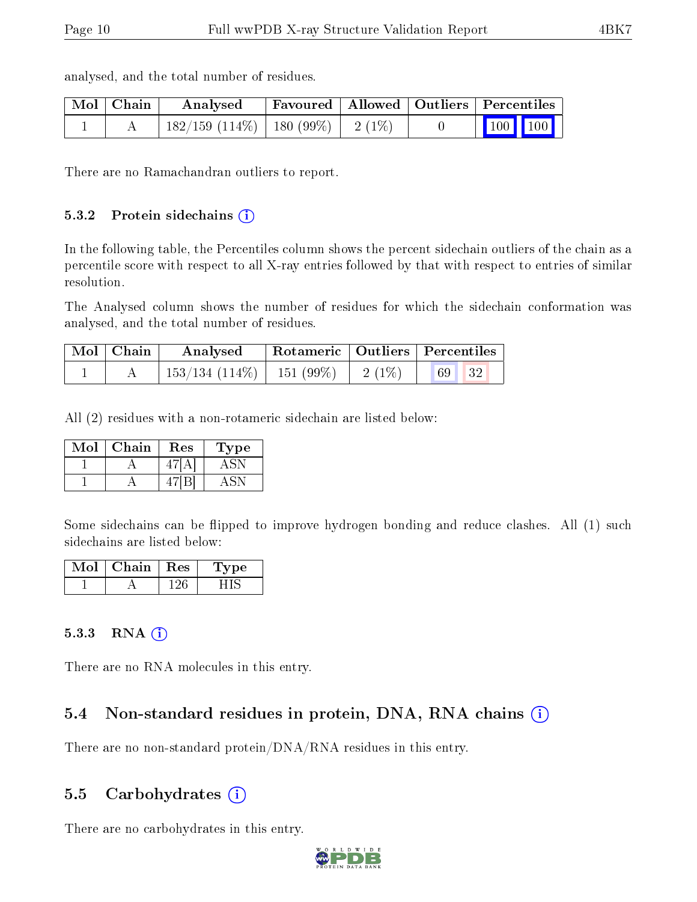| $\mid$ Mol $\mid$ Chain | Analysed                            |  | Favoured   Allowed   Outliers   Percentiles |  |
|-------------------------|-------------------------------------|--|---------------------------------------------|--|
|                         | 182/159 (114%)   180 (99%)   2 (1%) |  | $\vert$ 100 100                             |  |

analysed, and the total number of residues.

There are no Ramachandran outliers to report.

#### 5.3.2 Protein sidechains (i)

In the following table, the Percentiles column shows the percent sidechain outliers of the chain as a percentile score with respect to all X-ray entries followed by that with respect to entries of similar resolution.

The Analysed column shows the number of residues for which the sidechain conformation was analysed, and the total number of residues.

| Mol   Chain | Analysed                                 |          | Rotameric   Outliers   Percentiles |  |
|-------------|------------------------------------------|----------|------------------------------------|--|
|             | $\mid$ 153/134 (114\%) $\mid$ 151 (99\%) | $2(1\%)$ | 69<br>32                           |  |

All (2) residues with a non-rotameric sidechain are listed below:

| Mol | ${\rm Chain}$ | Res | Type |
|-----|---------------|-----|------|
|     |               |     |      |
|     |               |     |      |

Some sidechains can be flipped to improve hydrogen bonding and reduce clashes. All (1) such sidechains are listed below:

| - Mol | Chain | $+$ Res $+$ | Type |
|-------|-------|-------------|------|
|       |       |             |      |

#### $5.3.3$  RNA  $(i)$

There are no RNA molecules in this entry.

### 5.4 Non-standard residues in protein, DNA, RNA chains  $(i)$

There are no non-standard protein/DNA/RNA residues in this entry.

#### 5.5 Carbohydrates  $(i)$

There are no carbohydrates in this entry.

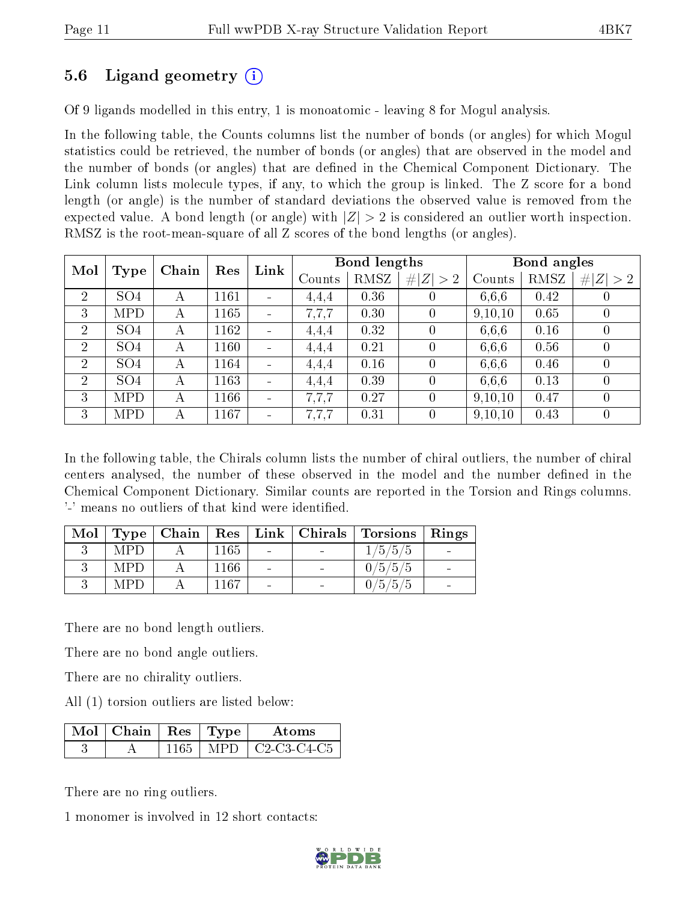### 5.6 Ligand geometry (i)

Of 9 ligands modelled in this entry, 1 is monoatomic - leaving 8 for Mogul analysis.

In the following table, the Counts columns list the number of bonds (or angles) for which Mogul statistics could be retrieved, the number of bonds (or angles) that are observed in the model and the number of bonds (or angles) that are dened in the Chemical Component Dictionary. The Link column lists molecule types, if any, to which the group is linked. The Z score for a bond length (or angle) is the number of standard deviations the observed value is removed from the expected value. A bond length (or angle) with  $|Z| > 2$  is considered an outlier worth inspection. RMSZ is the root-mean-square of all Z scores of the bond lengths (or angles).

| Mol            |                 | Chain | $\mathop{\rm Link}\nolimits$<br>Res |                          |        | Bond lengths |                  |         | Bond angles |                  |
|----------------|-----------------|-------|-------------------------------------|--------------------------|--------|--------------|------------------|---------|-------------|------------------|
|                | Type            |       |                                     |                          | Counts | RMSZ         | # $ Z  > 2$      | Counts  | RMSZ        | # $ Z  > 2$      |
| $\overline{2}$ | SO <sub>4</sub> | А     | 1161                                |                          | 4,4,4  | 0.36         | $\theta$         | 6.6.6   | 0.42        | 0                |
| 3              | MPD             | А     | 1165                                |                          | 7.7.7  | 0.30         | $\Omega$         | 9,10,10 | 0.65        | $\theta$         |
| $\overline{2}$ | SO <sub>4</sub> | А     | 1162                                |                          | 4,4,4  | 0.32         | $\left( \right)$ | 6,6,6   | 0.16        | $\left( \right)$ |
| $\overline{2}$ | SO <sub>4</sub> | А     | 1160                                |                          | 4,4,4  | 0.21         | 0                | 6.6.6   | 0.56        | 0                |
| $\overline{2}$ | SO <sub>4</sub> | А     | 1164                                |                          | 4.4.4  | 0.16         | $\left( \right)$ | 6,6,6   | 0.46        | $\left( \right)$ |
| $\overline{2}$ | SO <sub>4</sub> | А     | 1163                                | $\overline{\phantom{0}}$ | 4,4,4  | 0.39         | $\left( \right)$ | 6.6.6   | 0.13        | $\left( \right)$ |
| 3              | <b>MPD</b>      | А     | 1166                                |                          | 7.7.7  | 0.27         | $\left( \right)$ | 9,10,10 | 0.47        | $\cup$           |
| 3              | MPD.            | А     | 1167                                |                          | 7.7.7  | 0.31         | $\left( \right)$ | 9,10,10 | 0.43        | 0                |

In the following table, the Chirals column lists the number of chiral outliers, the number of chiral centers analysed, the number of these observed in the model and the number defined in the Chemical Component Dictionary. Similar counts are reported in the Torsion and Rings columns. '-' means no outliers of that kind were identified.

|     |      |  | Mol   Type   Chain   Res   Link   Chirals   Torsions   Rings |  |
|-----|------|--|--------------------------------------------------------------|--|
| MPD | 1165 |  | 1/5/5/5                                                      |  |
| MPD | 1166 |  | 0/5/5/5                                                      |  |
| MPD | 1167 |  | 0/5/5/5                                                      |  |

There are no bond length outliers.

There are no bond angle outliers.

There are no chirality outliers.

All (1) torsion outliers are listed below:

| $\sqrt{\text{Mol}}$   Chain   Res   Type |      | A toms                                                         |
|------------------------------------------|------|----------------------------------------------------------------|
|                                          | MPD. | C <sub>2</sub> -C <sub>3</sub> -C <sub>4</sub> -C <sub>5</sub> |

There are no ring outliers.

1 monomer is involved in 12 short contacts:

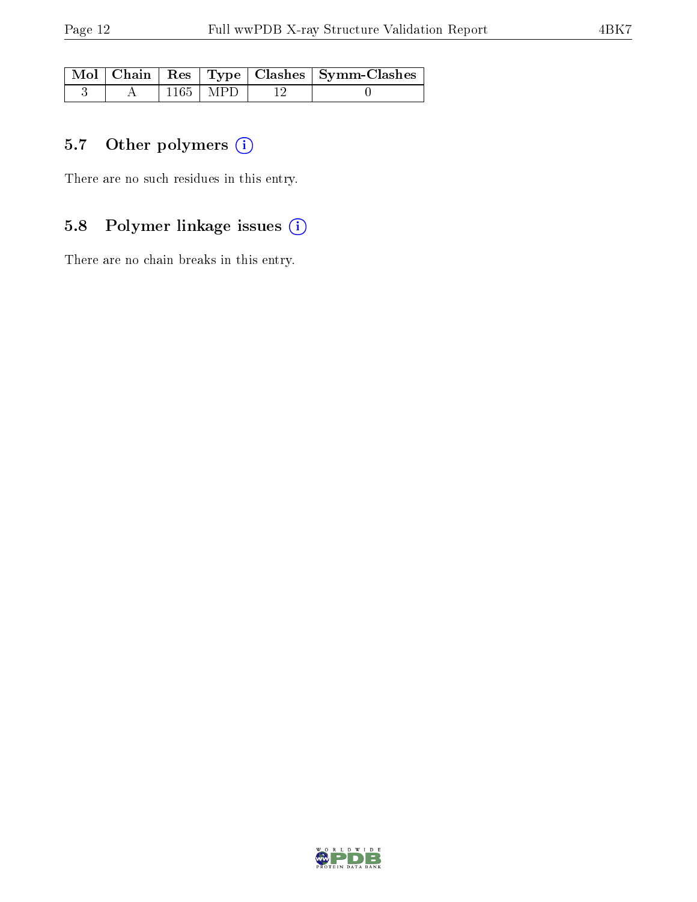|  |              | Mol   Chain   Res   Type   Clashes   Symm-Clashes |
|--|--------------|---------------------------------------------------|
|  | $1165$   MPD |                                                   |

### 5.7 [O](https://www.wwpdb.org/validation/2017/XrayValidationReportHelp#nonstandard_residues_and_ligands)ther polymers (i)

There are no such residues in this entry.

### 5.8 Polymer linkage issues (i)

There are no chain breaks in this entry.

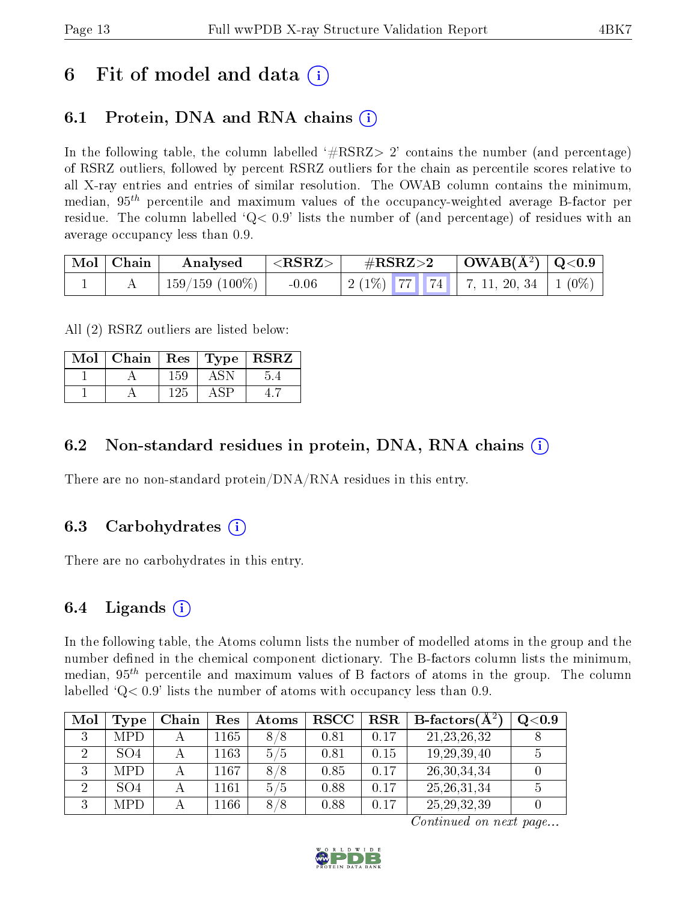## 6 Fit of model and data  $\left( \cdot \right)$

## 6.1 Protein, DNA and RNA chains (i)

In the following table, the column labelled  $#RSRZ>2'$  contains the number (and percentage) of RSRZ outliers, followed by percent RSRZ outliers for the chain as percentile scores relative to all X-ray entries and entries of similar resolution. The OWAB column contains the minimum, median,  $95<sup>th</sup>$  percentile and maximum values of the occupancy-weighted average B-factor per residue. The column labelled  $Q< 0.9$  lists the number of (and percentage) of residues with an average occupancy less than 0.9.

| $\mid$ Mol $\mid$ Chain | Analysed       | ${ <\hspace{-1.5pt}{\mathrm{RSRZ}} \hspace{-1.5pt}>}$ | $\rm \#RSRZ{>}2$                                   | $\mid$ OWAB(Å <sup>2</sup> ) $\mid$ Q<0.9 $\mid$ |  |
|-------------------------|----------------|-------------------------------------------------------|----------------------------------------------------|--------------------------------------------------|--|
|                         | 159/159 (100%) | $-0.06$                                               | $\mid$ 2 (1%) 77 74 74 7, 11, 20, 34 $\mid$ 1 (0%) |                                                  |  |

All (2) RSRZ outliers are listed below:

| Mol | Chain |     | $\vert$ Res $\vert$ Type $\vert$ RSRZ |
|-----|-------|-----|---------------------------------------|
|     |       | 159 |                                       |
|     |       | 125 |                                       |

#### 6.2 Non-standard residues in protein, DNA, RNA chains  $(i)$

There are no non-standard protein/DNA/RNA residues in this entry.

#### 6.3 Carbohydrates  $(i)$

There are no carbohydrates in this entry.

### 6.4 Ligands  $(i)$

In the following table, the Atoms column lists the number of modelled atoms in the group and the number defined in the chemical component dictionary. The B-factors column lists the minimum, median,  $95<sup>th</sup>$  percentile and maximum values of B factors of atoms in the group. The column labelled  $Q < 0.9$  lists the number of atoms with occupancy less than 0.9.

| Mol | Type            | Chain | Res  | Atoms | $_{\rm RSCC}$ | $_{\rm RSR}$ | $B$ -factors $(A^2)$ | $\rm Q\textcolor{black}{<}0.9$ |
|-----|-----------------|-------|------|-------|---------------|--------------|----------------------|--------------------------------|
|     | <b>MPD</b>      |       | 1165 | 8/8   | 0.81          | 0.17         | 21, 23, 26, 32       |                                |
|     | SO <sub>4</sub> |       | 1163 | 5/5   | 0.81          | 0.15         | 19, 29, 39, 40       |                                |
|     | <b>MPD</b>      |       | 1167 | 8/8   | 0.85          | 0.17         | 26, 30, 34, 34       |                                |
|     | SO <sub>4</sub> |       | 1161 | 5/5   | 0.88          | 0.17         | 25, 26, 31, 34       |                                |
|     | MPD             |       | 1166 | 8/8   | 0.88          | 0.17         | 25, 29, 32, 39       |                                |

Continued on next page...